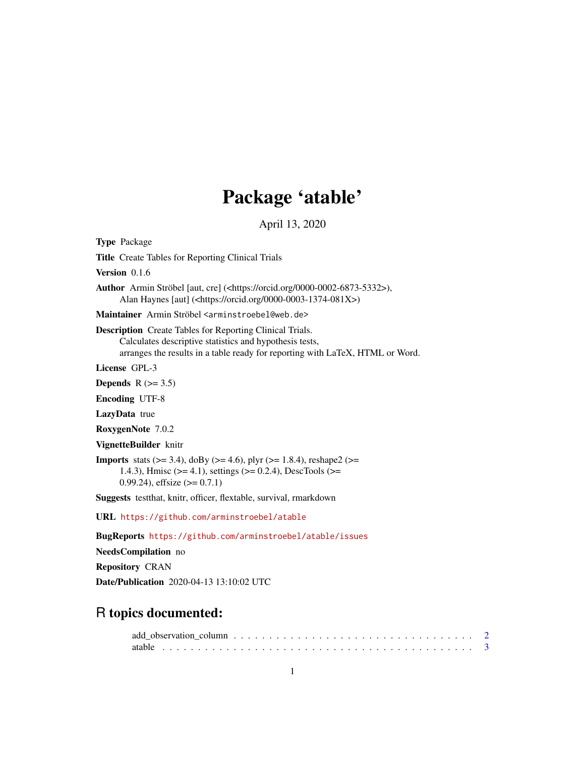# Package 'atable'

April 13, 2020

<span id="page-0-0"></span>Type Package Title Create Tables for Reporting Clinical Trials Version 0.1.6 Author Armin Ströbel [aut, cre] (<https://orcid.org/0000-0002-6873-5332>), Alan Haynes [aut] (<https://orcid.org/0000-0003-1374-081X>) Maintainer Armin Ströbel <arminstroebel@web.de> Description Create Tables for Reporting Clinical Trials. Calculates descriptive statistics and hypothesis tests, arranges the results in a table ready for reporting with LaTeX, HTML or Word. License GPL-3 Depends  $R$  ( $>= 3.5$ ) Encoding UTF-8 LazyData true RoxygenNote 7.0.2 VignetteBuilder knitr **Imports** stats ( $> = 3.4$ ), doBy ( $> = 4.6$ ), plyr ( $> = 1.8.4$ ), reshape2 ( $> =$ 1.4.3), Hmisc (>= 4.1), settings (>= 0.2.4), DescTools (>= 0.99.24), effsize  $(>= 0.7.1)$ Suggests testthat, knitr, officer, flextable, survival, rmarkdown URL <https://github.com/arminstroebel/atable> BugReports <https://github.com/arminstroebel/atable/issues> NeedsCompilation no Repository CRAN Date/Publication 2020-04-13 13:10:02 UTC

## R topics documented: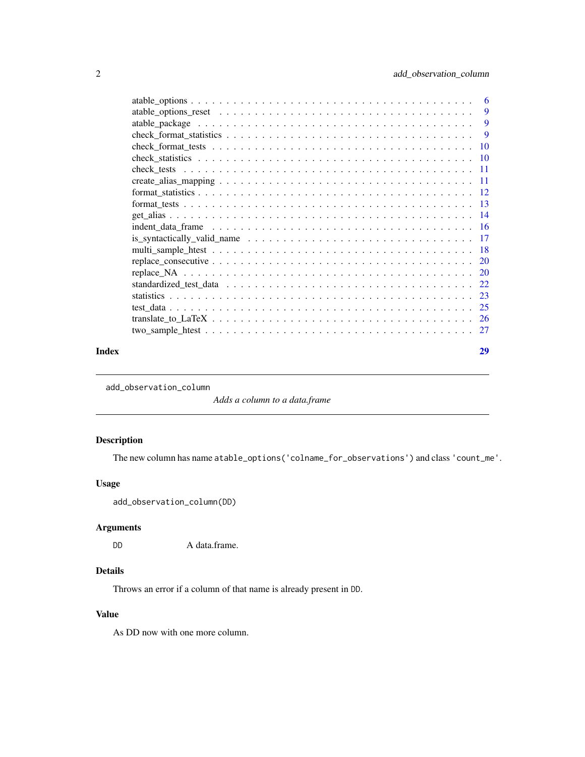<span id="page-1-0"></span>

| Index | 29 |
|-------|----|

<span id="page-1-1"></span>add\_observation\_column

*Adds a column to a data.frame*

#### Description

The new column has name atable\_options('colname\_for\_observations') and class 'count\_me'.

#### Usage

add\_observation\_column(DD)

#### Arguments

DD A data.frame.

## Details

Throws an error if a column of that name is already present in DD.

## Value

As DD now with one more column.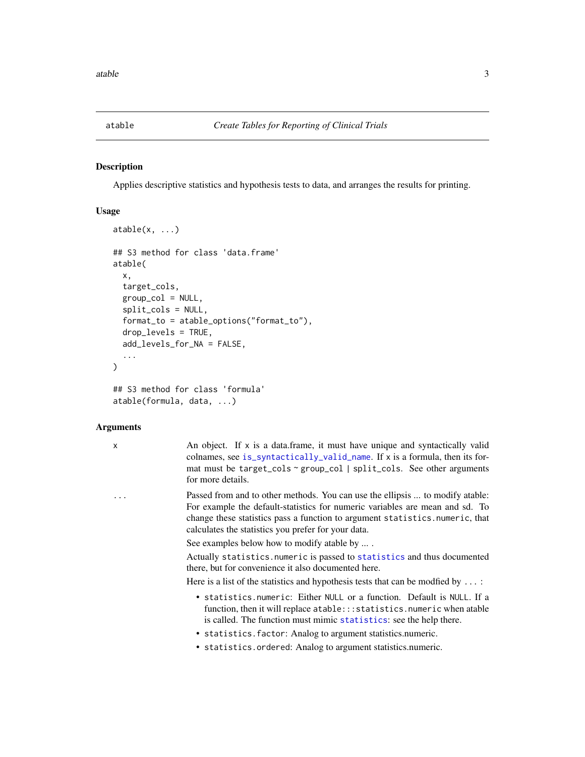<span id="page-2-1"></span><span id="page-2-0"></span>

#### Description

Applies descriptive statistics and hypothesis tests to data, and arranges the results for printing.

#### Usage

```
atable(x, ...)
## S3 method for class 'data.frame'
atable(
  x,
  target_cols,
  group\_col = NULL,split_cols = NULL,
  format_to = atable_options("format_to"),
  drop_levels = TRUE,
  add_levels_for_NA = FALSE,
  ...
)
## S3 method for class 'formula'
atable(formula, data, ...)
```
#### Arguments

x An object. If x is a data.frame, it must have unique and syntactically valid colnames, see [is\\_syntactically\\_valid\\_name](#page-16-1). If x is a formula, then its format must be target\_cols ~ group\_col | split\_cols. See other arguments for more details.

... Passed from and to other methods. You can use the ellipsis ... to modify atable: For example the default-statistics for numeric variables are mean and sd. To change these statistics pass a function to argument statistics.numeric, that calculates the statistics you prefer for your data.

See examples below how to modify atable by ... .

Actually statistics.numeric is passed to [statistics](#page-22-1) and thus documented there, but for convenience it also documented here.

Here is a list of the statistics and hypothesis tests that can be modfied by ...:

- statistics.numeric: Either NULL or a function. Default is NULL. If a function, then it will replace atable:::statistics.numeric when atable is called. The function must mimic [statistics](#page-22-1): see the help there.
- statistics.factor: Analog to argument statistics.numeric.
- statistics.ordered: Analog to argument statistics.numeric.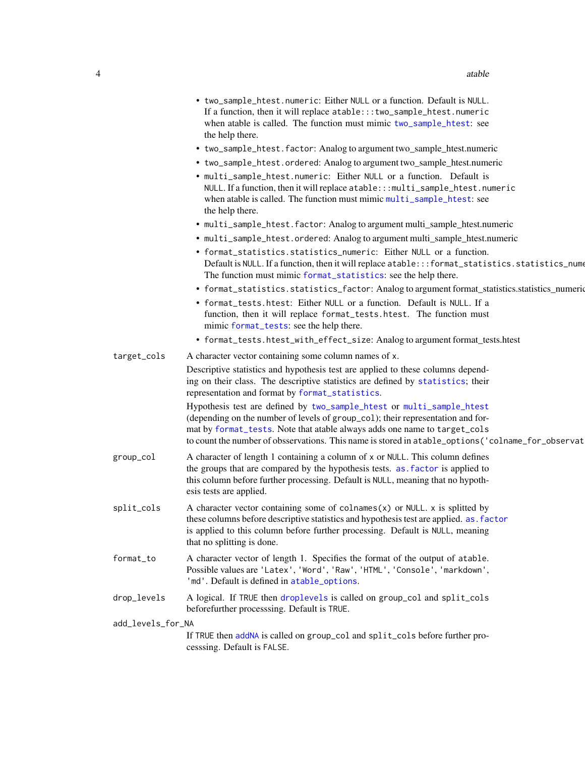<span id="page-3-0"></span>

|                   | • two_sample_htest.numeric: Either NULL or a function. Default is NULL.<br>If a function, then it will replace atable::: two_sample_htest.numeric<br>when atable is called. The function must mimic two_sample_htest: see<br>the help there.<br>• two_sample_htest.factor: Analog to argument two_sample_htest.numeric<br>• two_sample_htest.ordered: Analog to argument two_sample_htest.numeric<br>• multi_sample_htest.numeric: Either NULL or a function. Default is<br>NULL. If a function, then it will replace atable::: multi_sample_htest.numeric<br>when atable is called. The function must mimic multi_sample_htest: see<br>the help there.<br>• multi_sample_htest.factor: Analog to argument multi_sample_htest.numeric<br>• multi_sample_htest.ordered: Analog to argument multi_sample_htest.numeric<br>• format_statistics.statistics_numeric: Either NULL or a function.<br>Default is NULL. If a function, then it will replace atable::: format_statistics.statistics_nume<br>The function must mimic format_statistics: see the help there.<br>• format_statistics.statistics_factor: Analog to argument format_statistics.statistics_numeric<br>• format_tests.htest: Either NULL or a function. Default is NULL. If a<br>function, then it will replace format_tests.htest. The function must<br>mimic format_tests: see the help there. |
|-------------------|-----------------------------------------------------------------------------------------------------------------------------------------------------------------------------------------------------------------------------------------------------------------------------------------------------------------------------------------------------------------------------------------------------------------------------------------------------------------------------------------------------------------------------------------------------------------------------------------------------------------------------------------------------------------------------------------------------------------------------------------------------------------------------------------------------------------------------------------------------------------------------------------------------------------------------------------------------------------------------------------------------------------------------------------------------------------------------------------------------------------------------------------------------------------------------------------------------------------------------------------------------------------------------------------------------------------------------------------------------------------|
|                   | • format_tests.htest_with_effect_size: Analog to argument format_tests.htest                                                                                                                                                                                                                                                                                                                                                                                                                                                                                                                                                                                                                                                                                                                                                                                                                                                                                                                                                                                                                                                                                                                                                                                                                                                                                    |
| target_cols       | A character vector containing some column names of x.                                                                                                                                                                                                                                                                                                                                                                                                                                                                                                                                                                                                                                                                                                                                                                                                                                                                                                                                                                                                                                                                                                                                                                                                                                                                                                           |
|                   | Descriptive statistics and hypothesis test are applied to these columns depend-<br>ing on their class. The descriptive statistics are defined by statistics; their<br>representation and format by format_statistics.<br>Hypothesis test are defined by two_sample_htest or multi_sample_htest<br>(depending on the number of levels of group_col); their representation and for-<br>mat by format_tests. Note that atable always adds one name to target_cols                                                                                                                                                                                                                                                                                                                                                                                                                                                                                                                                                                                                                                                                                                                                                                                                                                                                                                  |
| group_col         | to count the number of obsservations. This name is stored in a table_options ('colname_for_observat<br>A character of length 1 containing a column of x or NULL. This column defines<br>the groups that are compared by the hypothesis tests. as . factor is applied to<br>this column before further processing. Default is NULL, meaning that no hypoth-<br>esis tests are applied.                                                                                                                                                                                                                                                                                                                                                                                                                                                                                                                                                                                                                                                                                                                                                                                                                                                                                                                                                                           |
| split_cols        | A character vector containing some of $collnames(x)$ or NULL. x is splitted by<br>these columns before descriptive statistics and hypothesis test are applied. as factor<br>is applied to this column before further processing. Default is NULL, meaning<br>that no splitting is done.                                                                                                                                                                                                                                                                                                                                                                                                                                                                                                                                                                                                                                                                                                                                                                                                                                                                                                                                                                                                                                                                         |
| format_to         | A character vector of length 1. Specifies the format of the output of atable.<br>Possible values are 'Latex', 'Word', 'Raw', 'HTML', 'Console', 'markdown',<br>'md'. Default is defined in atable_options.                                                                                                                                                                                                                                                                                                                                                                                                                                                                                                                                                                                                                                                                                                                                                                                                                                                                                                                                                                                                                                                                                                                                                      |
| drop_levels       | A logical. If TRUE then droplevels is called on group_col and split_cols<br>beforefurther processsing. Default is TRUE.                                                                                                                                                                                                                                                                                                                                                                                                                                                                                                                                                                                                                                                                                                                                                                                                                                                                                                                                                                                                                                                                                                                                                                                                                                         |
| add_levels_for_NA |                                                                                                                                                                                                                                                                                                                                                                                                                                                                                                                                                                                                                                                                                                                                                                                                                                                                                                                                                                                                                                                                                                                                                                                                                                                                                                                                                                 |
|                   | If TRUE then addNA is called on group_col and split_cols before further pro-<br>cesssing. Default is FALSE.                                                                                                                                                                                                                                                                                                                                                                                                                                                                                                                                                                                                                                                                                                                                                                                                                                                                                                                                                                                                                                                                                                                                                                                                                                                     |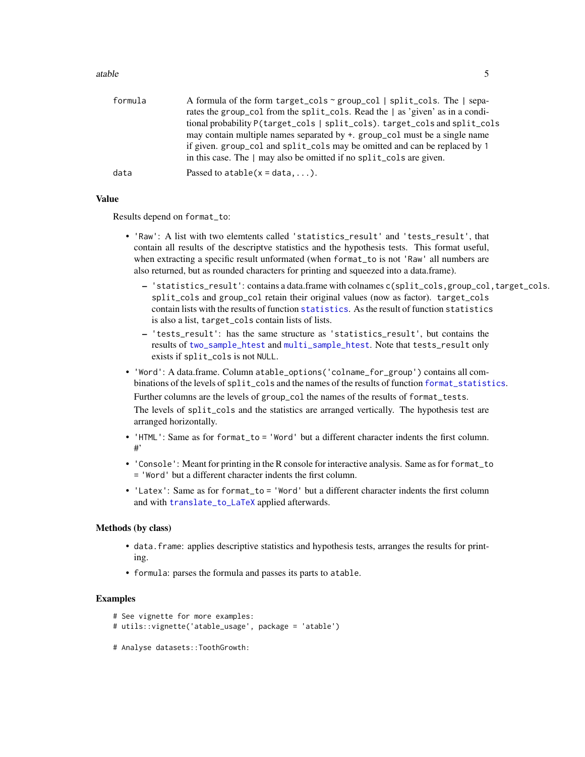#### <span id="page-4-0"></span>atable 5

| formula | A formula of the form target_cols $\sim$ group_col   split_cols. The   sepa-  |
|---------|-------------------------------------------------------------------------------|
|         | rates the group_col from the split_cols. Read the   as 'given' as in a condi- |
|         | tional probability P(target_cols   split_cols). target_cols and split_cols    |
|         | may contain multiple names separated by +. group_col must be a single name    |
|         | if given. group_col and split_cols may be omitted and can be replaced by 1    |
|         | in this case. The $\vert$ may also be omitted if no split_cols are given.     |
| data    | Passed to $atable(x = data, )$ .                                              |
|         |                                                                               |

#### Value

Results depend on format\_to:

- 'Raw': A list with two elemtents called 'statistics\_result' and 'tests\_result', that contain all results of the descriptve statistics and the hypothesis tests. This format useful, when extracting a specific result unformated (when format\_to is not 'Raw' all numbers are also returned, but as rounded characters for printing and squeezed into a data.frame).
	- 'statistics\_result': contains a data.frame with colnames c(split\_cols,group\_col,target\_cols. split\_cols and group\_col retain their original values (now as factor). target\_cols contain lists with the results of function [statistics](#page-22-1). As the result of function statistics is also a list, target\_cols contain lists of lists.
	- 'tests\_result': has the same structure as 'statistics\_result', but contains the results of [two\\_sample\\_htest](#page-26-1) and [multi\\_sample\\_htest](#page-17-1). Note that tests\_result only exists if split\_cols is not NULL.
- 'Word': A data.frame. Column atable\_options('colname\_for\_group') contains all combinations of the levels of split\_cols and the names of the results of function [format\\_statistics](#page-11-1). Further columns are the levels of group\_col the names of the results of format\_tests. The levels of split\_cols and the statistics are arranged vertically. The hypothesis test are arranged horizontally.
- 'HTML': Same as for format\_to = 'Word' but a different character indents the first column. #'
- 'Console': Meant for printing in the R console for interactive analysis. Same as for format\_to = 'Word' but a different character indents the first column.
- 'Latex': Same as for format to = 'Word' but a different character indents the first column and with [translate\\_to\\_LaTeX](#page-25-1) applied afterwards.

#### Methods (by class)

- data.frame: applies descriptive statistics and hypothesis tests, arranges the results for printing.
- formula: parses the formula and passes its parts to atable.

#### Examples

```
# See vignette for more examples:
```

```
# utils::vignette('atable_usage', package = 'atable')
```
# Analyse datasets::ToothGrowth: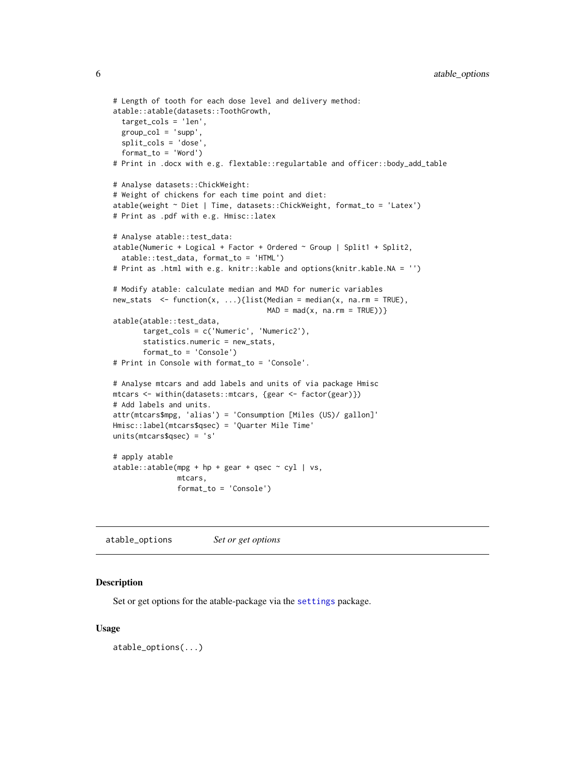```
# Length of tooth for each dose level and delivery method:
atable::atable(datasets::ToothGrowth,
 target_cols = 'len',
 group_col = 'supp',
 split_cols = 'dose',
 format_to = 'Word')
# Print in .docx with e.g. flextable::regulartable and officer::body_add_table
# Analyse datasets::ChickWeight:
# Weight of chickens for each time point and diet:
atable(weight ~ Diet | Time, datasets::ChickWeight, format_to = 'Latex')
# Print as .pdf with e.g. Hmisc::latex
# Analyse atable::test_data:
atable(Numeric + Logical + Factor + Ordered ~ Group | Split1 + Split2,
 atable::test_data, format_to = 'HTML')
# Print as .html with e.g. knitr::kable and options(knitr.kable.NA = '')
# Modify atable: calculate median and MAD for numeric variables
new\_stats \leq function(x, ...) {list(Median = median(x, na.rm = TRUE),
                                    MAD = mad(x, na.rm = TRUE))atable(atable::test_data,
      target_cols = c('Numeric', 'Numeric2'),
      statistics.numeric = new_stats,
      format_to = 'Console')
# Print in Console with format_to = 'Console'.
# Analyse mtcars and add labels and units of via package Hmisc
mtcars <- within(datasets::mtcars, {gear <- factor(gear)})
# Add labels and units.
attr(mtcars$mpg, 'alias') = 'Consumption [Miles (US)/ gallon]'
Hmisc::label(mtcars$qsec) = 'Quarter Mile Time'
units(mtcars$qsec) = 's'
# apply atable
atable::atable(mpg + hp + gear + qsec ~ cyl ~|~ vs,mtcars,
               format_to = 'Console')
```
<span id="page-5-1"></span>atable\_options *Set or get options*

#### Description

Set or get options for the atable-package via the [settings](#page-0-0) package.

#### Usage

atable\_options(...)

<span id="page-5-0"></span>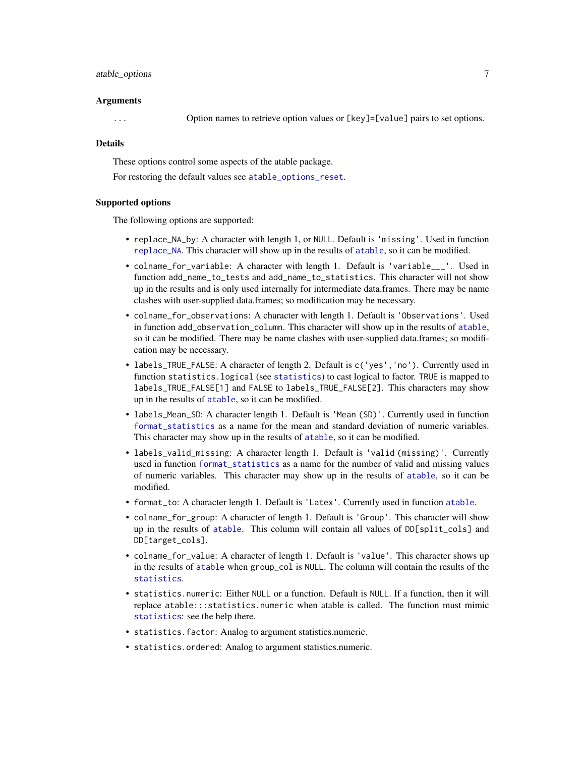#### <span id="page-6-0"></span>atable\_options 7

#### Arguments

... Option names to retrieve option values or [key]=[value] pairs to set options.

#### Details

These options control some aspects of the atable package.

For restoring the default values see [atable\\_options\\_reset](#page-8-1).

#### Supported options

The following options are supported:

- replace\_NA\_by: A character with length 1, or NULL. Default is 'missing'. Used in function [replace\\_NA](#page-19-1). This character will show up in the results of [atable](#page-2-1), so it can be modified.
- colname\_for\_variable: A character with length 1. Default is 'variable\_\_\_'. Used in function add\_name\_to\_tests and add\_name\_to\_statistics. This character will not show up in the results and is only used internally for intermediate data.frames. There may be name clashes with user-supplied data.frames; so modification may be necessary.
- colname\_for\_observations: A character with length 1. Default is 'Observations'. Used in function add\_observation\_column. This character will show up in the results of [atable](#page-2-1), so it can be modified. There may be name clashes with user-supplied data.frames; so modification may be necessary.
- labels\_TRUE\_FALSE: A character of length 2. Default is  $c('yes', 'no')$ . Currently used in function statistics.logical (see [statistics](#page-22-1)) to cast logical to factor. TRUE is mapped to labels\_TRUE\_FALSE[1] and FALSE to labels\_TRUE\_FALSE[2]. This characters may show up in the results of [atable](#page-2-1), so it can be modified.
- labels\_Mean\_SD: A character length 1. Default is 'Mean (SD)'. Currently used in function [format\\_statistics](#page-11-1) as a name for the mean and standard deviation of numeric variables. This character may show up in the results of [atable](#page-2-1), so it can be modified.
- labels\_valid\_missing: A character length 1. Default is 'valid (missing)'. Currently used in function [format\\_statistics](#page-11-1) as a name for the number of valid and missing values of numeric variables. This character may show up in the results of [atable](#page-2-1), so it can be modified.
- format\_to: A character length 1. Default is 'Latex'. Currently used in function [atable](#page-2-1).
- colname\_for\_group: A character of length 1. Default is 'Group'. This character will show up in the results of [atable](#page-2-1). This column will contain all values of DD[split\_cols] and DD[target\_cols].
- colname\_for\_value: A character of length 1. Default is 'value'. This character shows up in the results of [atable](#page-2-1) when group\_col is NULL. The column will contain the results of the [statistics](#page-22-1).
- statistics.numeric: Either NULL or a function. Default is NULL. If a function, then it will replace atable:::statistics.numeric when atable is called. The function must mimic [statistics](#page-22-1): see the help there.
- statistics.factor: Analog to argument statistics.numeric.
- statistics.ordered: Analog to argument statistics.numeric.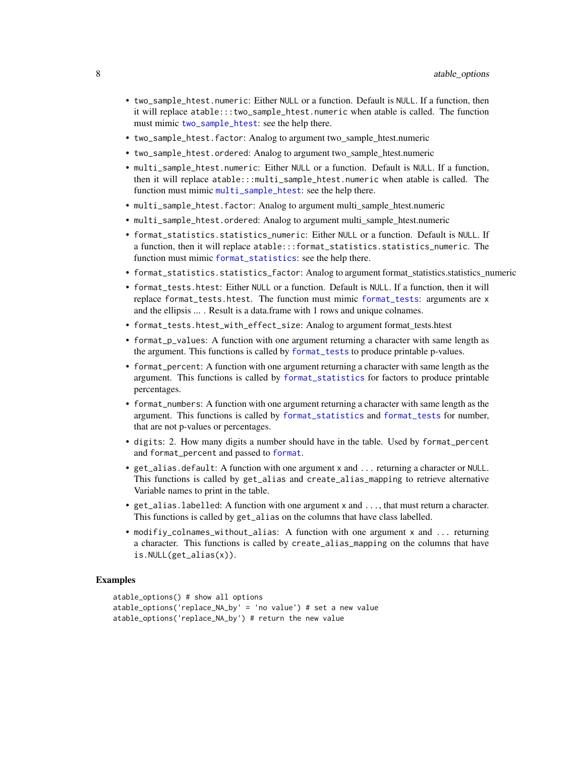- <span id="page-7-0"></span>• two\_sample\_htest.numeric: Either NULL or a function. Default is NULL. If a function, then it will replace atable:::two\_sample\_htest.numeric when atable is called. The function must mimic [two\\_sample\\_htest](#page-26-1): see the help there.
- two\_sample\_htest.factor: Analog to argument two\_sample\_htest.numeric
- two\_sample\_htest.ordered: Analog to argument two\_sample\_htest.numeric
- multi\_sample\_htest.numeric: Either NULL or a function. Default is NULL. If a function, then it will replace atable:::multi\_sample\_htest.numeric when atable is called. The function must mimic [multi\\_sample\\_htest](#page-17-1): see the help there.
- multi\_sample\_htest.factor: Analog to argument multi\_sample\_htest.numeric
- multi\_sample\_htest.ordered: Analog to argument multi\_sample\_htest.numeric
- format\_statistics.statistics\_numeric: Either NULL or a function. Default is NULL. If a function, then it will replace atable:::format\_statistics.statistics\_numeric. The function must mimic [format\\_statistics](#page-11-1): see the help there.
- format\_statistics.statistics\_factor: Analog to argument format\_statistics.statistics\_numeric
- format\_tests.htest: Either NULL or a function. Default is NULL. If a function, then it will replace format\_tests.htest. The function must mimic [format\\_tests](#page-12-1): arguments are x and the ellipsis ... . Result is a data.frame with 1 rows and unique colnames.
- format\_tests.htest\_with\_effect\_size: Analog to argument format\_tests.htest
- format\_p\_values: A function with one argument returning a character with same length as the argument. This functions is called by [format\\_tests](#page-12-1) to produce printable p-values.
- format\_percent: A function with one argument returning a character with same length as the argument. This functions is called by [format\\_statistics](#page-11-1) for factors to produce printable percentages.
- format\_numbers: A function with one argument returning a character with same length as the argument. This functions is called by [format\\_statistics](#page-11-1) and [format\\_tests](#page-12-1) for number, that are not p-values or percentages.
- digits: 2. How many digits a number should have in the table. Used by format\_percent and format\_percent and passed to [format](#page-0-0).
- get\_alias.default: A function with one argument x and ... returning a character or NULL. This functions is called by get\_alias and create\_alias\_mapping to retrieve alternative Variable names to print in the table.
- get\_alias.labelled: A function with one argument x and ..., that must return a character. This functions is called by get\_alias on the columns that have class labelled.
- modifiy\_colnames\_without\_alias: A function with one argument x and ... returning a character. This functions is called by create\_alias\_mapping on the columns that have is.NULL(get\_alias(x)).

#### Examples

```
atable_options() # show all options
atable_options('replace_NA_by' = 'no value') # set a new value
atable_options('replace_NA_by') # return the new value
```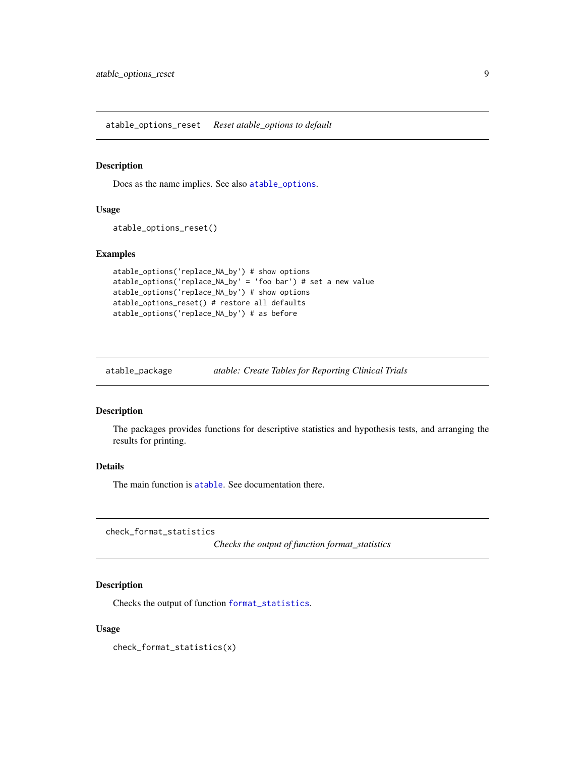<span id="page-8-1"></span><span id="page-8-0"></span>atable\_options\_reset *Reset atable\_options to default*

#### Description

Does as the name implies. See also [atable\\_options](#page-5-1).

#### Usage

```
atable_options_reset()
```
#### Examples

```
atable_options('replace_NA_by') # show options
atable_options('replace_NA_by' = 'foo bar') # set a new value
atable_options('replace_NA_by') # show options
atable_options_reset() # restore all defaults
atable_options('replace_NA_by') # as before
```
atable\_package *atable: Create Tables for Reporting Clinical Trials*

#### Description

The packages provides functions for descriptive statistics and hypothesis tests, and arranging the results for printing.

#### Details

The main function is [atable](#page-2-1). See documentation there.

<span id="page-8-2"></span>check\_format\_statistics

*Checks the output of function format\_statistics*

#### Description

Checks the output of function [format\\_statistics](#page-11-1).

#### Usage

check\_format\_statistics(x)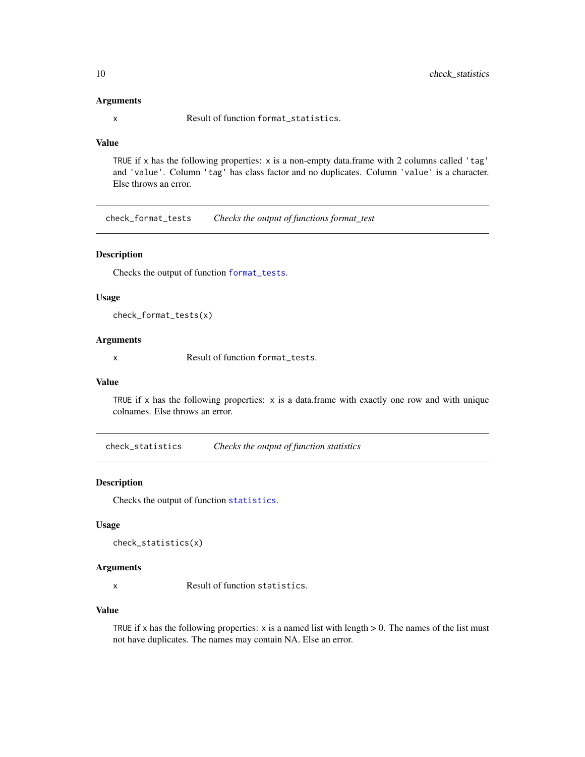#### Arguments

x Result of function format\_statistics.

#### Value

TRUE if x has the following properties: x is a non-empty data.frame with 2 columns called 'tag' and 'value'. Column 'tag' has class factor and no duplicates. Column 'value' is a character. Else throws an error.

<span id="page-9-1"></span>check\_format\_tests *Checks the output of functions format\_test*

#### Description

Checks the output of function [format\\_tests](#page-12-1).

#### Usage

check\_format\_tests(x)

#### Arguments

x Result of function format\_tests.

#### Value

TRUE if x has the following properties:  $x$  is a data.frame with exactly one row and with unique colnames. Else throws an error.

<span id="page-9-2"></span>check\_statistics *Checks the output of function statistics*

#### Description

Checks the output of function [statistics](#page-22-1).

#### Usage

```
check_statistics(x)
```
#### Arguments

x Result of function statistics.

#### Value

TRUE if x has the following properties:  $x$  is a named list with length  $> 0$ . The names of the list must not have duplicates. The names may contain NA. Else an error.

<span id="page-9-0"></span>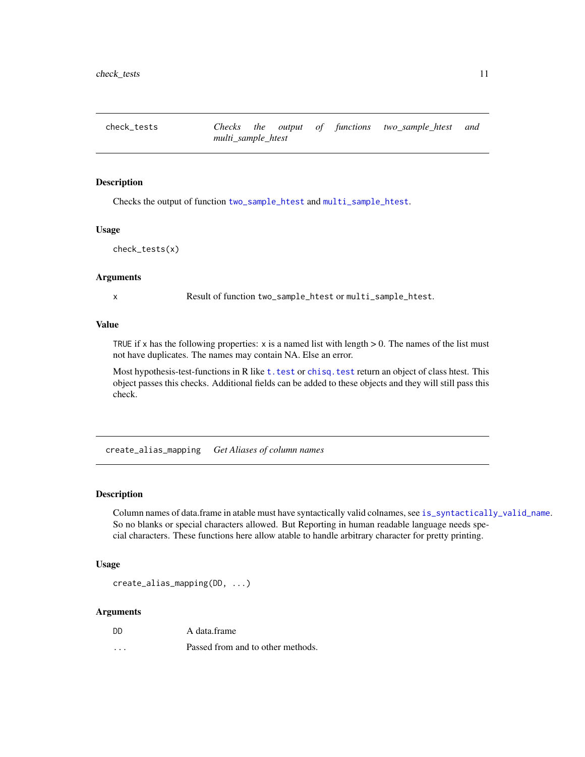<span id="page-10-1"></span><span id="page-10-0"></span>check\_tests *Checks the output of functions two\_sample\_htest and multi\_sample\_htest*

#### Description

Checks the output of function [two\\_sample\\_htest](#page-26-1) and [multi\\_sample\\_htest](#page-17-1).

#### Usage

```
check_tests(x)
```
#### Arguments

x Result of function two\_sample\_htest or multi\_sample\_htest.

#### Value

TRUE if x has the following properties:  $x$  is a named list with length  $> 0$ . The names of the list must not have duplicates. The names may contain NA. Else an error.

Most hypothesis-test-functions in R like t. test or chisq. test return an object of class htest. This object passes this checks. Additional fields can be added to these objects and they will still pass this check.

create\_alias\_mapping *Get Aliases of column names*

#### **Description**

Column names of data.frame in atable must have syntactically valid colnames, see [is\\_syntactically\\_valid\\_name](#page-16-1). So no blanks or special characters allowed. But Reporting in human readable language needs special characters. These functions here allow atable to handle arbitrary character for pretty printing.

#### Usage

```
create_alias_mapping(DD, ...)
```
#### Arguments

... Passed from and to other methods.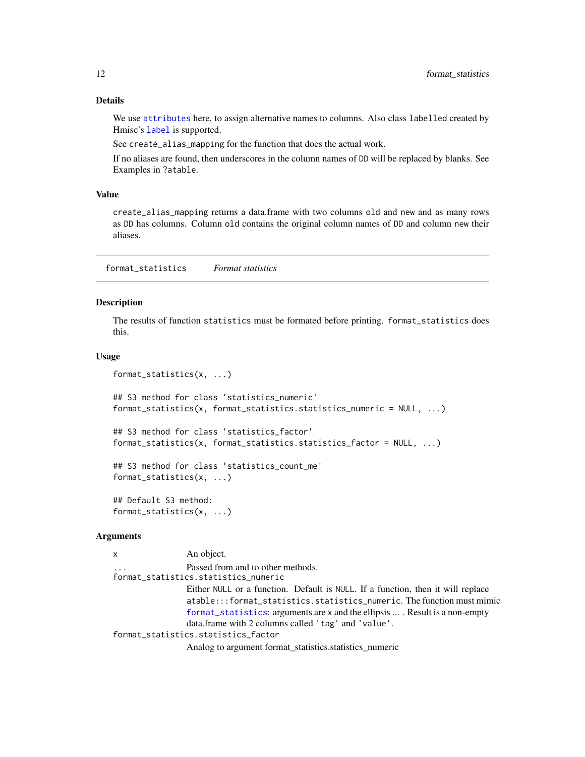#### <span id="page-11-0"></span>Details

We use [attributes](#page-0-0) here, to assign alternative names to columns. Also class labelled created by Hmisc's [label](#page-0-0) is supported.

See create\_alias\_mapping for the function that does the actual work.

If no aliases are found, then underscores in the column names of DD will be replaced by blanks. See Examples in ?atable.

#### Value

create\_alias\_mapping returns a data.frame with two columns old and new and as many rows as DD has columns. Column old contains the original column names of DD and column new their aliases.

<span id="page-11-1"></span>format\_statistics *Format statistics*

#### Description

The results of function statistics must be formated before printing. format\_statistics does this.

#### Usage

```
format_statistics(x, ...)
## S3 method for class 'statistics_numeric'
format_statistics(x, format_statistics.statistics_numeric = NULL, ...)
## S3 method for class 'statistics_factor'
format_statistics(x, format_statistics.statistics_factor = NULL, ...)
## S3 method for class 'statistics_count_me'
format_statistics(x, ...)
## Default S3 method:
format_statistics(x, ...)
```
#### Arguments

```
x An object.
                 Passed from and to other methods.
format_statistics.statistics_numeric
                 Either NULL or a function. Default is NULL. If a function, then it will replace
                 atable:::format_statistics.statistics_numeric. The function must mimic
                 format_statistics: arguments are x and the ellipsis ... . Result is a non-empty
                 data.frame with 2 columns called 'tag' and 'value'.
format_statistics.statistics_factor
                 Analog to argument format_statistics.statistics_numeric
```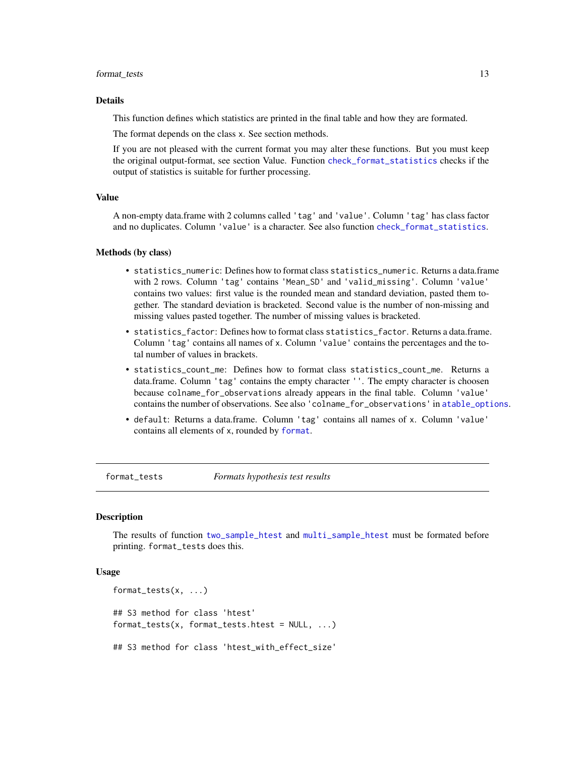#### <span id="page-12-0"></span>format\_tests 13

#### Details

This function defines which statistics are printed in the final table and how they are formated.

The format depends on the class x. See section methods.

If you are not pleased with the current format you may alter these functions. But you must keep the original output-format, see section Value. Function [check\\_format\\_statistics](#page-8-2) checks if the output of statistics is suitable for further processing.

#### Value

A non-empty data.frame with 2 columns called 'tag' and 'value'. Column 'tag' has class factor and no duplicates. Column 'value' is a character. See also function [check\\_format\\_statistics](#page-8-2).

#### Methods (by class)

- statistics\_numeric: Defines how to format class statistics\_numeric. Returns a data.frame with 2 rows. Column 'tag' contains 'Mean\_SD' and 'valid\_missing'. Column 'value' contains two values: first value is the rounded mean and standard deviation, pasted them together. The standard deviation is bracketed. Second value is the number of non-missing and missing values pasted together. The number of missing values is bracketed.
- statistics\_factor: Defines how to format class statistics\_factor. Returns a data.frame. Column 'tag' contains all names of x. Column 'value' contains the percentages and the total number of values in brackets.
- statistics\_count\_me: Defines how to format class statistics\_count\_me. Returns a data.frame. Column 'tag' contains the empty character ''. The empty character is choosen because colname\_for\_observations already appears in the final table. Column 'value' contains the number of observations. See also 'colname\_for\_observations' in [atable\\_options](#page-5-1).
- default: Returns a data.frame. Column 'tag' contains all names of x. Column 'value' contains all elements of x, rounded by [format](#page-0-0).

<span id="page-12-1"></span>format\_tests *Formats hypothesis test results*

#### Description

The results of function [two\\_sample\\_htest](#page-26-1) and [multi\\_sample\\_htest](#page-17-1) must be formated before printing. format\_tests does this.

#### Usage

```
format_tests(x, ...)
## S3 method for class 'htest'
format_tests(x, format_tests.htest = NULL, ...)
## S3 method for class 'htest_with_effect_size'
```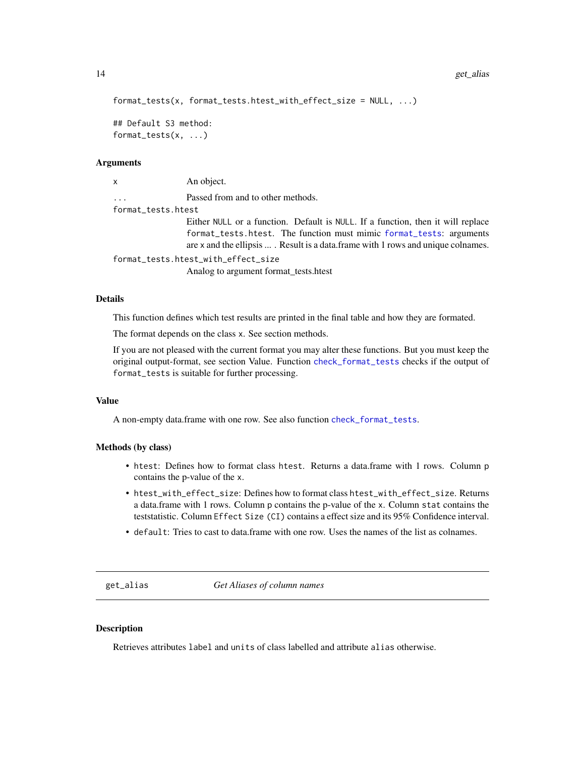```
format_tests(x, format_tests.htest_with_effect_size = NULL, ...)
```

```
## Default S3 method:
format_tests(x, ...)
```
#### Arguments

x An object. ... Passed from and to other methods. format\_tests.htest Either NULL or a function. Default is NULL. If a function, then it will replace format\_tests.htest. The function must mimic [format\\_tests](#page-12-1): arguments are x and the ellipsis ... . Result is a data.frame with 1 rows and unique colnames. format\_tests.htest\_with\_effect\_size

Analog to argument format\_tests.htest

#### Details

This function defines which test results are printed in the final table and how they are formated.

The format depends on the class x. See section methods.

If you are not pleased with the current format you may alter these functions. But you must keep the original output-format, see section Value. Function [check\\_format\\_tests](#page-9-1) checks if the output of format\_tests is suitable for further processing.

#### Value

A non-empty data.frame with one row. See also function [check\\_format\\_tests](#page-9-1).

#### Methods (by class)

- htest: Defines how to format class htest. Returns a data.frame with 1 rows. Column p contains the p-value of the x.
- htest\_with\_effect\_size: Defines how to format class htest\_with\_effect\_size. Returns a data.frame with 1 rows. Column p contains the p-value of the x. Column stat contains the teststatistic. Column Effect Size (CI) contains a effect size and its 95% Confidence interval.
- default: Tries to cast to data.frame with one row. Uses the names of the list as colnames.

get\_alias *Get Aliases of column names*

#### **Description**

Retrieves attributes label and units of class labelled and attribute alias otherwise.

<span id="page-13-0"></span>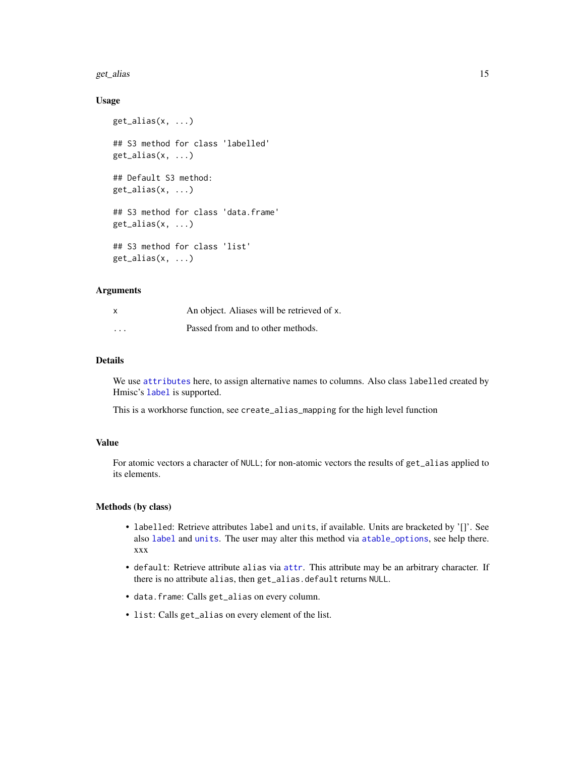#### <span id="page-14-0"></span>get\_alias 15

#### Usage

```
get_alias(x, ...)
## S3 method for class 'labelled'
get_alias(x, ...)
## Default S3 method:
get_alias(x, ...)
## S3 method for class 'data.frame'
get\_alias(x, ...)## S3 method for class 'list'
get\_alias(x, ...)
```
#### Arguments

| $\mathsf{x}$ | An object. Aliases will be retrieved of x. |
|--------------|--------------------------------------------|
| $\cdot$      | Passed from and to other methods.          |

#### Details

We use [attributes](#page-0-0) here, to assign alternative names to columns. Also class labelled created by Hmisc's [label](#page-0-0) is supported.

This is a workhorse function, see create\_alias\_mapping for the high level function

#### Value

For atomic vectors a character of NULL; for non-atomic vectors the results of get\_alias applied to its elements.

#### Methods (by class)

- labelled: Retrieve attributes label and units, if available. Units are bracketed by '[]'. See also [label](#page-0-0) and [units](#page-0-0). The user may alter this method via [atable\\_options](#page-5-1), see help there. xxx
- default: Retrieve attribute alias via [attr](#page-0-0). This attribute may be an arbitrary character. If there is no attribute alias, then get\_alias.default returns NULL.
- data.frame: Calls get\_alias on every column.
- list: Calls get\_alias on every element of the list.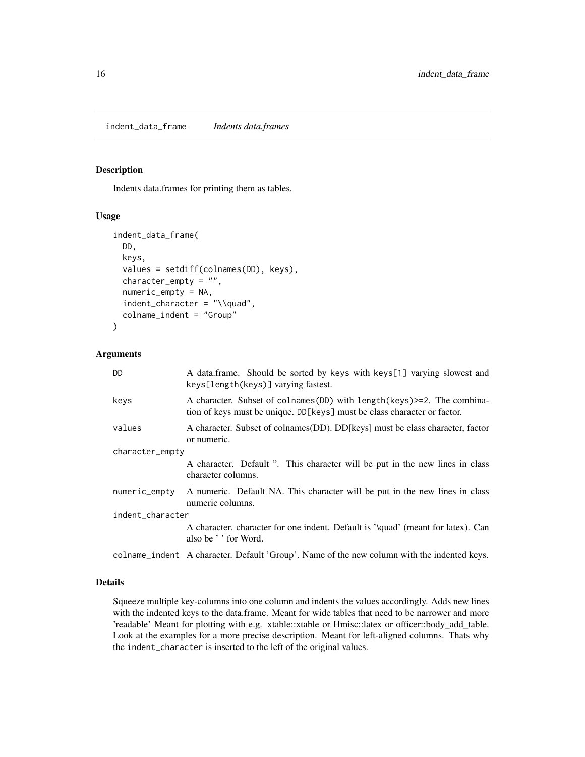<span id="page-15-0"></span>indent\_data\_frame *Indents data.frames*

#### Description

Indents data.frames for printing them as tables.

#### Usage

```
indent_data_frame(
 DD,
 keys,
  values = setdiff(colnames(DD), keys),
  character_empty = "",
  numeric_empty = NA,
  indent_character = "\\quad",
  colname_indent = "Group"
)
```
#### Arguments

| <b>DD</b>        | A data frame. Should be sorted by keys with keys[1] varying slowest and<br>keys[length(keys)] varying fastest.                                          |
|------------------|---------------------------------------------------------------------------------------------------------------------------------------------------------|
| keys             | A character. Subset of colnames (DD) with length (keys) > = 2. The combina-<br>tion of keys must be unique. DD[keys] must be class character or factor. |
| values           | A character. Subset of colnames (DD). DD [keys] must be class character, factor<br>or numeric.                                                          |
| character_empty  |                                                                                                                                                         |
|                  | A character. Default ". This character will be put in the new lines in class<br>character columns.                                                      |
| numeric_empty    | A numeric. Default NA. This character will be put in the new lines in class<br>numeric columns.                                                         |
| indent_character |                                                                                                                                                         |
|                  | A character, character for one indent. Default is '\quad' (meant for latex). Can<br>also be ' ' for Word.                                               |
|                  | colname_indent A character. Default 'Group'. Name of the new column with the indented keys.                                                             |

#### Details

Squeeze multiple key-columns into one column and indents the values accordingly. Adds new lines with the indented keys to the data.frame. Meant for wide tables that need to be narrower and more 'readable' Meant for plotting with e.g. xtable::xtable or Hmisc::latex or officer::body\_add\_table. Look at the examples for a more precise description. Meant for left-aligned columns. Thats why the indent\_character is inserted to the left of the original values.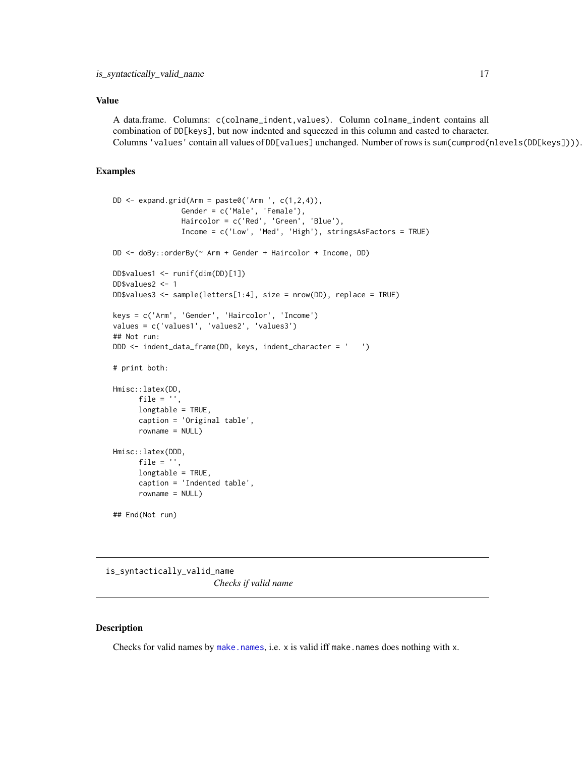#### <span id="page-16-0"></span>Value

A data.frame. Columns: c(colname\_indent,values). Column colname\_indent contains all combination of DD[keys], but now indented and squeezed in this column and casted to character. Columns 'values' contain all values of DD[values] unchanged. Number of rows is sum(cumprod(nlevels(DD[keys]))).

#### Examples

```
DD \leftarrow expand.grid(Arm = paste0('Arm ', c(1,2,4)),
                Gender = c('Male', 'Female'),
                Haircolor = c('Red', 'Green', 'Blue'),
                Income = c('Low', 'Med', 'High'), stringsAsFactors = TRUE)
DD <- doBy::orderBy(~ Arm + Gender + Haircolor + Income, DD)
DD$values1 <- runif(dim(DD)[1])
DD$values2 <- 1
DD$values3 <- sample(letters[1:4], size = nrow(DD), replace = TRUE)
keys = c('Arm', 'Gender', 'Haircolor', 'Income')
values = c('values1', 'values2', 'values3')
## Not run:
DDD <- indent_data_frame(DD, keys, indent_character = ' ')
# print both:
Hmisc::latex(DD,
      file = '',
      longtable = TRUE,
      caption = 'Original table',
      rowname = NULL)
Hmisc::latex(DDD,
      file = ',
      longtable = TRUE,
      caption = 'Indented table',
      rowname = NULL)
## End(Not run)
```
<span id="page-16-1"></span>is\_syntactically\_valid\_name *Checks if valid name*

#### Description

Checks for valid names by [make.names](#page-0-0), i.e.  $x$  is valid iff make.names does nothing with  $x$ .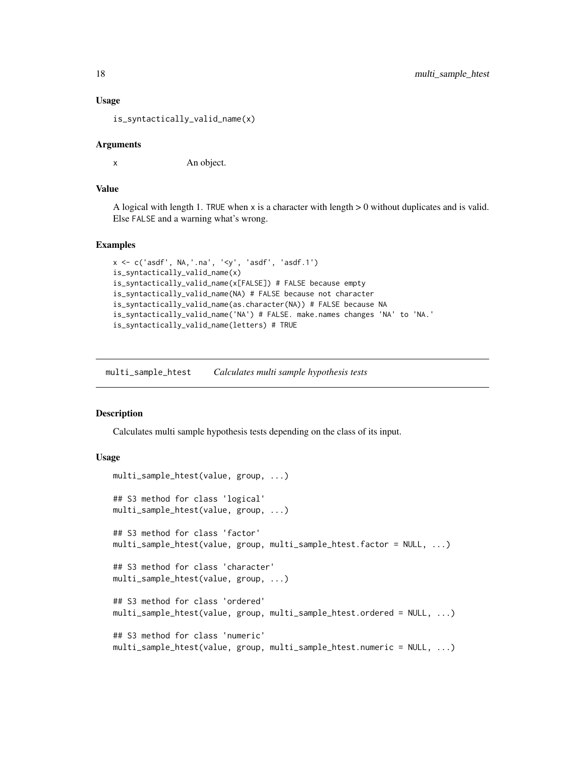#### Usage

is\_syntactically\_valid\_name(x)

#### Arguments

x An object.

#### Value

A logical with length 1. TRUE when  $x$  is a character with length  $> 0$  without duplicates and is valid. Else FALSE and a warning what's wrong.

#### Examples

```
x <- c('asdf', NA,'.na', '<y', 'asdf', 'asdf.1')
is_syntactically_valid_name(x)
is_syntactically_valid_name(x[FALSE]) # FALSE because empty
is_syntactically_valid_name(NA) # FALSE because not character
is_syntactically_valid_name(as.character(NA)) # FALSE because NA
is_syntactically_valid_name('NA') # FALSE. make.names changes 'NA' to 'NA.'
is_syntactically_valid_name(letters) # TRUE
```
<span id="page-17-1"></span>multi\_sample\_htest *Calculates multi sample hypothesis tests*

#### <span id="page-17-2"></span>**Description**

Calculates multi sample hypothesis tests depending on the class of its input.

#### Usage

```
multi_sample_htest(value, group, ...)
## S3 method for class 'logical'
multi_sample_htest(value, group, ...)
## S3 method for class 'factor'
multi_sample_htest(value, group, multi_sample_htest.factor = NULL, ...)
## S3 method for class 'character'
multi_sample_htest(value, group, ...)
## S3 method for class 'ordered'
multi_sample_htest(value, group, multi_sample_htest.ordered = NULL, ...)
## S3 method for class 'numeric'
multi_sample_htest(value, group, multi_sample_htest.numeric = NULL, ...)
```
<span id="page-17-0"></span>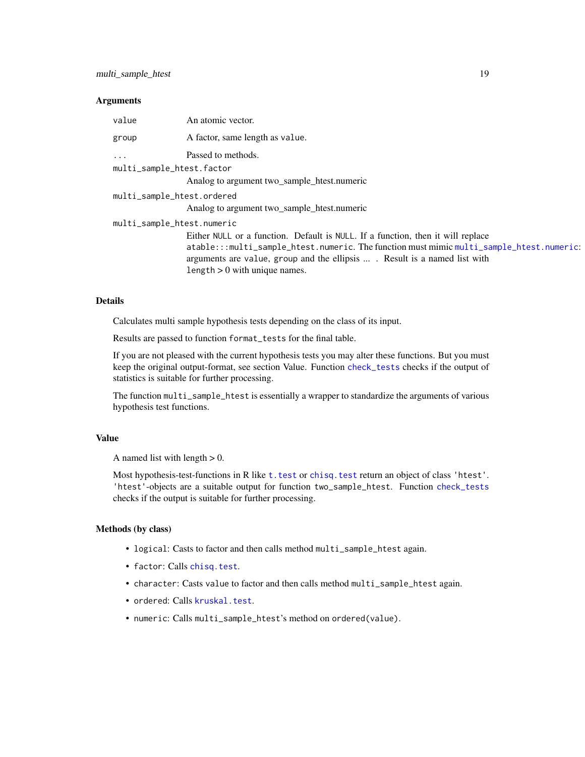#### <span id="page-18-0"></span>Arguments

| value                      | An atomic vector.                                                                       |
|----------------------------|-----------------------------------------------------------------------------------------|
| group                      | A factor, same length as value.                                                         |
| $\cdots$                   | Passed to methods.                                                                      |
| multi_sample_htest.factor  |                                                                                         |
|                            | Analog to argument two_sample_htest.numeric                                             |
| multi_sample_htest.ordered |                                                                                         |
|                            | Analog to argument two_sample_htest.numeric                                             |
| multi_sample_htest.numeric |                                                                                         |
|                            | Either NULL or a function. Default is NULL. If a function, then it will replace         |
|                            | atable:::multi_sample_htest.numeric.The function must mimic multi_sample_htest.numeric: |
|                            | arguments are value, group and the ellipsis  Result is a named list with                |
|                            | length $> 0$ with unique names.                                                         |

#### Details

Calculates multi sample hypothesis tests depending on the class of its input.

Results are passed to function format\_tests for the final table.

If you are not pleased with the current hypothesis tests you may alter these functions. But you must keep the original output-format, see section Value. Function [check\\_tests](#page-10-1) checks if the output of statistics is suitable for further processing.

The function multi\_sample\_htest is essentially a wrapper to standardize the arguments of various hypothesis test functions.

#### Value

A named list with length  $> 0$ .

Most hypothesis-test-functions in R like t. test or chisq. test return an object of class 'htest'. 'htest'-objects are a suitable output for function two\_sample\_htest. Function [check\\_tests](#page-10-1) checks if the output is suitable for further processing.

#### Methods (by class)

- logical: Casts to factor and then calls method multi\_sample\_htest again.
- factor: Calls [chisq.test](#page-0-0).
- character: Casts value to factor and then calls method multi\_sample\_htest again.
- ordered: Calls [kruskal.test](#page-0-0).
- numeric: Calls multi\_sample\_htest's method on ordered(value).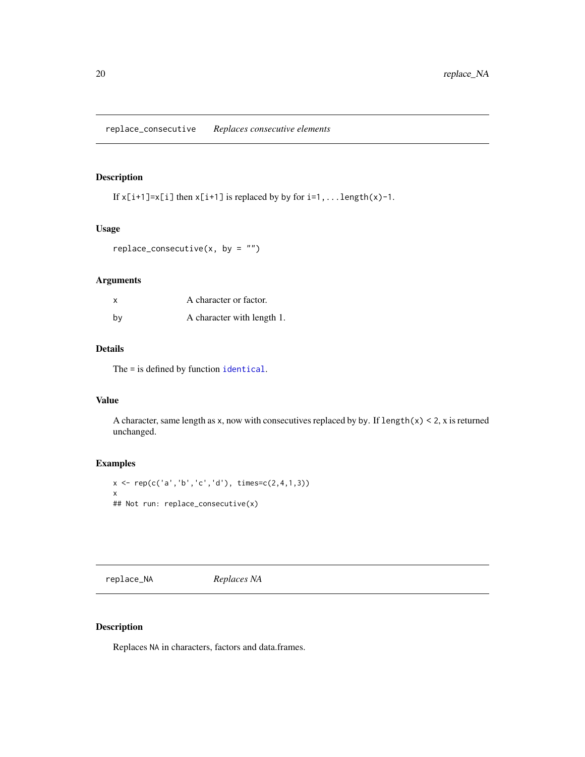#### <span id="page-19-0"></span>Description

If  $x[i+1]=x[i]$  then  $x[i+1]$  is replaced by by for  $i=1,...$  length $(x)-1$ .

#### Usage

```
replace_consecutive(x, by = ")
```
#### Arguments

| X  | A character or factor.     |
|----|----------------------------|
| bv | A character with length 1. |

#### Details

The = is defined by function [identical](#page-0-0).

#### Value

A character, same length as x, now with consecutives replaced by by. If  $length(x) < 2$ , x is returned unchanged.

#### Examples

```
x \leq rep(c('a', 'b', 'c', 'd'), times=c(2,4,1,3))x
## Not run: replace_consecutive(x)
```
<span id="page-19-1"></span>replace\_NA *Replaces NA*

#### Description

Replaces NA in characters, factors and data.frames.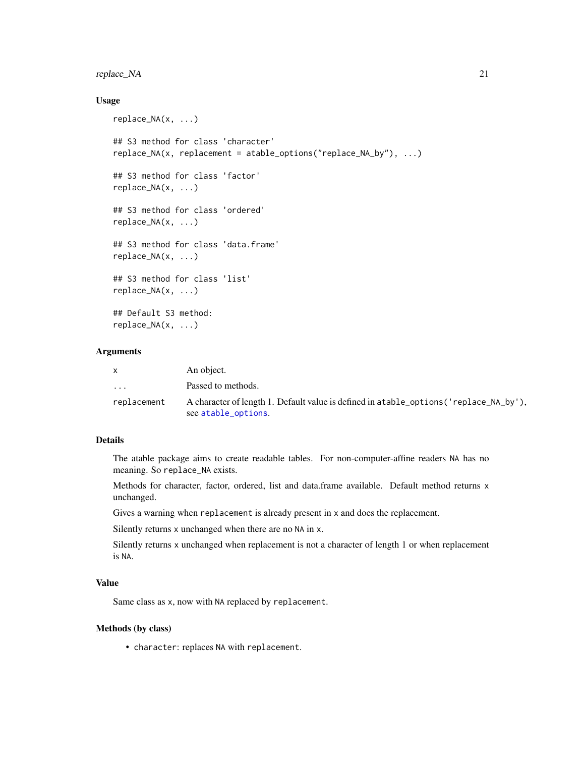#### <span id="page-20-0"></span>replace\_NA 21

#### Usage

```
replace_NA(x, ...)
## S3 method for class 'character'
replace_NA(x, replacement = atable_options("replace_NA_by"), ...)
## S3 method for class 'factor'
replace_NA(x, ...)
## S3 method for class 'ordered'
replace_NA(x, ...)
## S3 method for class 'data.frame'
replace_NA(x, ...)
## S3 method for class 'list'
replace_NA(x, ...)
## Default S3 method:
replace_NA(x, ...)
```
#### Arguments

|                         | An object.                                                                                                     |
|-------------------------|----------------------------------------------------------------------------------------------------------------|
| $\cdot$ $\cdot$ $\cdot$ | Passed to methods.                                                                                             |
| replacement             | A character of length 1. Default value is defined in a table_options ('replace_NA_by'),<br>see atable_options. |

#### Details

The atable package aims to create readable tables. For non-computer-affine readers NA has no meaning. So replace\_NA exists.

Methods for character, factor, ordered, list and data.frame available. Default method returns x unchanged.

Gives a warning when replacement is already present in x and does the replacement.

Silently returns x unchanged when there are no NA in x.

Silently returns x unchanged when replacement is not a character of length 1 or when replacement is NA.

#### Value

Same class as x, now with NA replaced by replacement.

#### Methods (by class)

• character: replaces NA with replacement.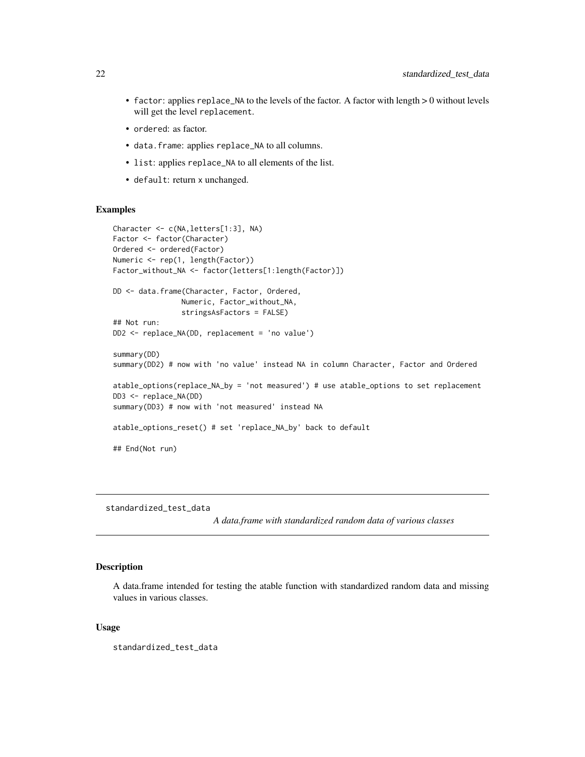- <span id="page-21-0"></span>• factor: applies replace\_NA to the levels of the factor. A factor with length > 0 without levels will get the level replacement.
- ordered: as factor.
- data.frame: applies replace\_NA to all columns.
- list: applies replace\_NA to all elements of the list.
- default: return x unchanged.

#### Examples

```
Character <- c(NA,letters[1:3], NA)
Factor <- factor(Character)
Ordered <- ordered(Factor)
Numeric <- rep(1, length(Factor))
Factor_without_NA <- factor(letters[1:length(Factor)])
DD <- data.frame(Character, Factor, Ordered,
                Numeric, Factor_without_NA,
                stringsAsFactors = FALSE)
## Not run:
DD2 <- replace_NA(DD, replacement = 'no value')
summary(DD)
summary(DD2) # now with 'no value' instead NA in column Character, Factor and Ordered
atable_options(replace_NA_by = 'not measured') # use atable_options to set replacement
DD3 <- replace_NA(DD)
summary(DD3) # now with 'not measured' instead NA
atable_options_reset() # set 'replace_NA_by' back to default
## End(Not run)
```
standardized\_test\_data

*A data.frame with standardized random data of various classes*

#### Description

A data.frame intended for testing the atable function with standardized random data and missing values in various classes.

#### Usage

standardized\_test\_data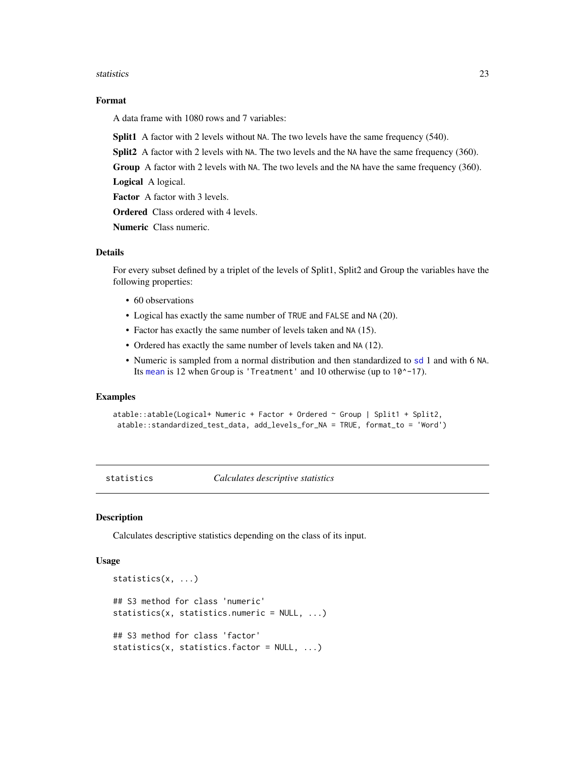#### <span id="page-22-0"></span>statistics 23

#### Format

A data frame with 1080 rows and 7 variables:

Split1 A factor with 2 levels without NA. The two levels have the same frequency (540).

Split2 A factor with 2 levels with NA. The two levels and the NA have the same frequency (360).

Group A factor with 2 levels with NA. The two levels and the NA have the same frequency (360).

Logical A logical.

Factor A factor with 3 levels.

Ordered Class ordered with 4 levels.

Numeric Class numeric.

#### Details

For every subset defined by a triplet of the levels of Split1, Split2 and Group the variables have the following properties:

- 60 observations
- Logical has exactly the same number of TRUE and FALSE and NA (20).
- Factor has exactly the same number of levels taken and NA (15).
- Ordered has exactly the same number of levels taken and NA (12).
- Numeric is sampled from a normal distribution and then standardized to [sd](#page-0-0) 1 and with 6 NA. Its [mean](#page-0-0) is 12 when Group is 'Treatment' and 10 otherwise (up to 10^-17).

#### Examples

```
atable::atable(Logical+ Numeric + Factor + Ordered ~ Group | Split1 + Split2,
 atable::standardized_test_data, add_levels_for_NA = TRUE, format_to = 'Word')
```
<span id="page-22-1"></span>statistics *Calculates descriptive statistics*

#### Description

Calculates descriptive statistics depending on the class of its input.

#### Usage

```
statistics(x, ...)
## S3 method for class 'numeric'
statistics(x, statistics.numeric = NULL, ...)
## S3 method for class 'factor'
statistics(x, statistics.factor = NULL, ...)
```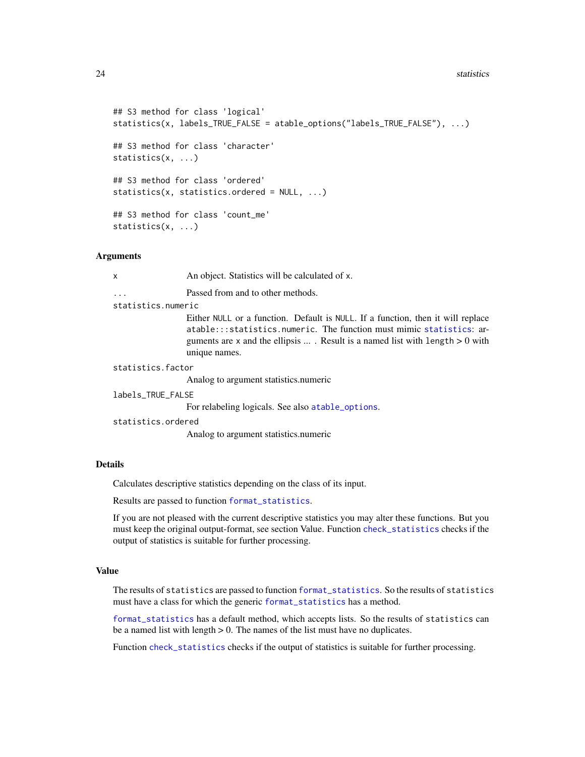```
## S3 method for class 'logical'
   statistics(x, labels_TRUE_FALSE = atable_options("labels_TRUE_FALSE"), ...)
   ## S3 method for class 'character'
   statistics(x, ...)
   ## S3 method for class 'ordered'
   statistics(x, statistics.ordered = NULL, ...)
   ## S3 method for class 'count_me'
   statistics(x, ...)
Arguments
   x An object. Statistics will be calculated of x.
```
... Passed from and to other methods.

statistics.numeric

Either NULL or a function. Default is NULL. If a function, then it will replace atable:::statistics.numeric. The function must mimic [statistics](#page-22-1): arguments are  $x$  and the ellipsis ... . Result is a named list with length  $> 0$  with unique names.

statistics.factor

Analog to argument statistics.numeric

labels\_TRUE\_FALSE

For relabeling logicals. See also [atable\\_options](#page-5-1).

statistics.ordered

Analog to argument statistics.numeric

#### Details

Calculates descriptive statistics depending on the class of its input.

Results are passed to function [format\\_statistics](#page-11-1).

If you are not pleased with the current descriptive statistics you may alter these functions. But you must keep the original output-format, see section Value. Function [check\\_statistics](#page-9-2) checks if the output of statistics is suitable for further processing.

#### Value

The results of statistics are passed to function [format\\_statistics](#page-11-1). So the results of statistics must have a class for which the generic [format\\_statistics](#page-11-1) has a method.

[format\\_statistics](#page-11-1) has a default method, which accepts lists. So the results of statistics can be a named list with length > 0. The names of the list must have no duplicates.

Function [check\\_statistics](#page-9-2) checks if the output of statistics is suitable for further processing.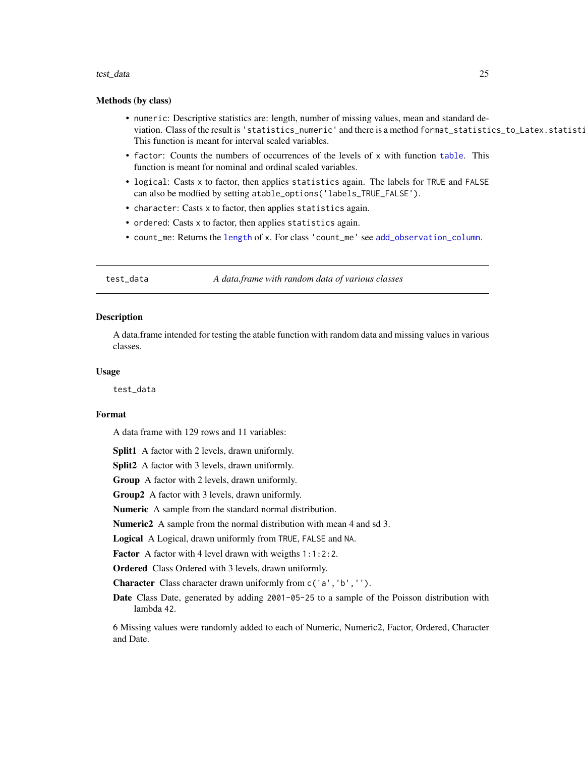#### <span id="page-24-0"></span>test\_data 25

#### Methods (by class)

- numeric: Descriptive statistics are: length, number of missing values, mean and standard deviation. Class of the result is 'statistics\_numeric' and there is a method format\_statistics\_to\_Latex.statistics\_numeric. This function is meant for interval scaled variables.
- factor: Counts the numbers of occurrences of the levels of x with function [table](#page-0-0). This function is meant for nominal and ordinal scaled variables.
- logical: Casts x to factor, then applies statistics again. The labels for TRUE and FALSE can also be modfied by setting atable\_options('labels\_TRUE\_FALSE').
- character: Casts x to factor, then applies statistics again.
- ordered: Casts x to factor, then applies statistics again.
- count\_me: Returns the [length](#page-0-0) of x. For class 'count\_me' see [add\\_observation\\_column](#page-1-1).

test\_data *A data.frame with random data of various classes*

#### Description

A data.frame intended for testing the atable function with random data and missing values in various classes.

#### Usage

test\_data

#### Format

A data frame with 129 rows and 11 variables:

Split1 A factor with 2 levels, drawn uniformly.

**Split2** A factor with 3 levels, drawn uniformly.

Group A factor with 2 levels, drawn uniformly.

Group2 A factor with 3 levels, drawn uniformly.

Numeric A sample from the standard normal distribution.

Numeric2 A sample from the normal distribution with mean 4 and sd 3.

Logical A Logical, drawn uniformly from TRUE, FALSE and NA.

Factor A factor with 4 level drawn with weigths 1:1:2:2.

Ordered Class Ordered with 3 levels, drawn uniformly.

Character Class character drawn uniformly from c('a','b','').

Date Class Date, generated by adding 2001-05-25 to a sample of the Poisson distribution with lambda 42.

6 Missing values were randomly added to each of Numeric, Numeric2, Factor, Ordered, Character and Date.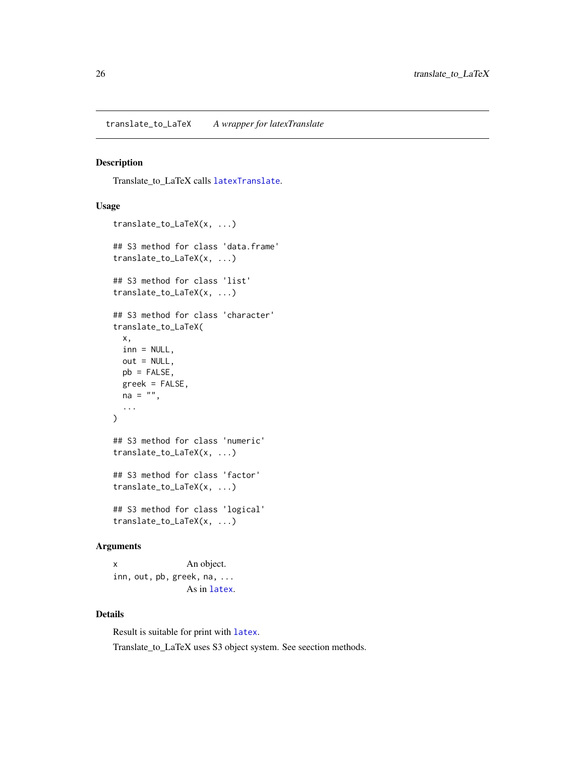#### <span id="page-25-1"></span><span id="page-25-0"></span>Description

Translate\_to\_LaTeX calls [latexTranslate](#page-0-0).

#### Usage

```
translate_to_LaTeX(x, ...)
## S3 method for class 'data.frame'
translate_to_LaTeX(x, ...)
## S3 method for class 'list'
translate_to_LaTeX(x, ...)
## S3 method for class 'character'
translate_to_LaTeX(
 x,
 inn = NULL,out = NULL,pb = FALSE,greek = FALSE,
 na = ""....
\lambda## S3 method for class 'numeric'
translate_to_LaTeX(x, ...)
## S3 method for class 'factor'
translate_to_LaTeX(x, ...)
## S3 method for class 'logical'
translate_to_LaTeX(x, ...)
```
#### Arguments

x An object. inn, out, pb, greek, n[a, ...](#page-0-0) As in latex.

#### Details

Result is suitable for print with [latex](#page-0-0). Translate\_to\_LaTeX uses S3 object system. See seection methods.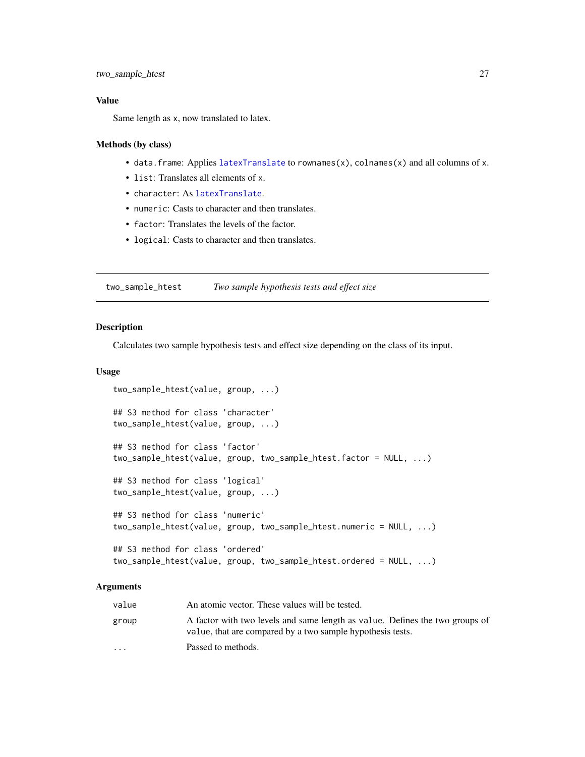#### <span id="page-26-0"></span>Value

Same length as x, now translated to latex.

#### Methods (by class)

- data.frame: Applies [latexTranslate](#page-0-0) to rownames(x), colnames(x) and all columns of x.
- list: Translates all elements of x.
- character: As [latexTranslate](#page-0-0).
- numeric: Casts to character and then translates.
- factor: Translates the levels of the factor.
- logical: Casts to character and then translates.

<span id="page-26-1"></span>two\_sample\_htest *Two sample hypothesis tests and effect size*

#### <span id="page-26-2"></span>Description

Calculates two sample hypothesis tests and effect size depending on the class of its input.

#### Usage

```
two_sample_htest(value, group, ...)
## S3 method for class 'character'
two_sample_htest(value, group, ...)
## S3 method for class 'factor'
two_sample_htest(value, group, two_sample_htest.factor = NULL, ...)
## S3 method for class 'logical'
two_sample_htest(value, group, ...)
## S3 method for class 'numeric'
two_sample_htest(value, group, two_sample_htest.numeric = NULL, ...)
## S3 method for class 'ordered'
two_sample_htest(value, group, two_sample_htest.ordered = NULL, ...)
```
#### Arguments

| value                   | An atomic vector. These values will be tested.                                                                                             |
|-------------------------|--------------------------------------------------------------------------------------------------------------------------------------------|
| group                   | A factor with two levels and same length as value. Defines the two groups of<br>value, that are compared by a two sample hypothesis tests. |
| $\cdot$ $\cdot$ $\cdot$ | Passed to methods.                                                                                                                         |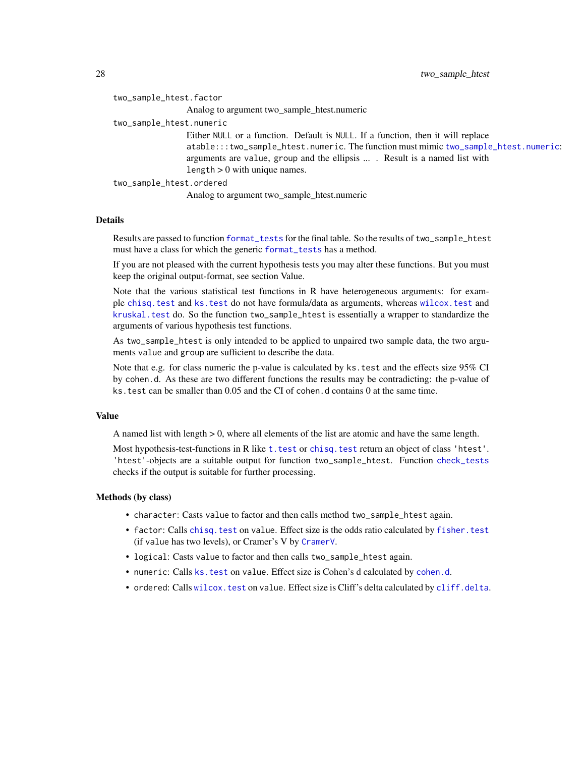| two_sample_htest.factor  |                                                                                                                                                                                                                                                                                          |
|--------------------------|------------------------------------------------------------------------------------------------------------------------------------------------------------------------------------------------------------------------------------------------------------------------------------------|
|                          | Analog to argument two_sample_htest.numeric                                                                                                                                                                                                                                              |
| two_sample_htest.numeric |                                                                                                                                                                                                                                                                                          |
|                          | Either NULL or a function. Default is NULL. If a function, then it will replace<br>atable:::two_sample_htest.numeric. The function must mimic two_sample_htest.numeric:<br>arguments are value, group and the ellipsis  . Result is a named list with<br>length $> 0$ with unique names. |
| two_sample_htest.ordered |                                                                                                                                                                                                                                                                                          |
|                          |                                                                                                                                                                                                                                                                                          |

Analog to argument two\_sample\_htest.numeric

#### Details

Results are passed to function [format\\_tests](#page-12-1) for the final table. So the results of two\_sample\_htest must have a class for which the generic [format\\_tests](#page-12-1) has a method.

If you are not pleased with the current hypothesis tests you may alter these functions. But you must keep the original output-format, see section Value.

Note that the various statistical test functions in R have heterogeneous arguments: for example [chisq.test](#page-0-0) and [ks.test](#page-0-0) do not have formula/data as arguments, whereas [wilcox.test](#page-0-0) and [kruskal.test](#page-0-0) do. So the function two\_sample\_htest is essentially a wrapper to standardize the arguments of various hypothesis test functions.

As two\_sample\_htest is only intended to be applied to unpaired two sample data, the two arguments value and group are sufficient to describe the data.

Note that e.g. for class numeric the p-value is calculated by ks. test and the effects size 95% CI by cohen.d. As these are two different functions the results may be contradicting: the p-value of ks.test can be smaller than 0.05 and the CI of cohen.d contains 0 at the same time.

#### Value

A named list with length > 0, where all elements of the list are atomic and have the same length.

Most hypothesis-test-functions in R like t. test or chisq. test return an object of class 'htest'. 'htest'-objects are a suitable output for function two\_sample\_htest. Function [check\\_tests](#page-10-1) checks if the output is suitable for further processing.

#### Methods (by class)

- character: Casts value to factor and then calls method two\_sample\_htest again.
- factor: Calls [chisq.test](#page-0-0) on value. Effect size is the odds ratio calculated by [fisher.test](#page-0-0) (if value has two levels), or Cramer's V by [CramerV](#page-0-0).
- logical: Casts value to factor and then calls two\_sample\_htest again.
- numeric: Calls [ks.test](#page-0-0) on value. Effect size is Cohen's d calculated by [cohen.d](#page-0-0).
- ordered: Calls [wilcox.test](#page-0-0) on value. Effect size is Cliff's delta calculated by [cliff.delta](#page-0-0).

<span id="page-27-0"></span>